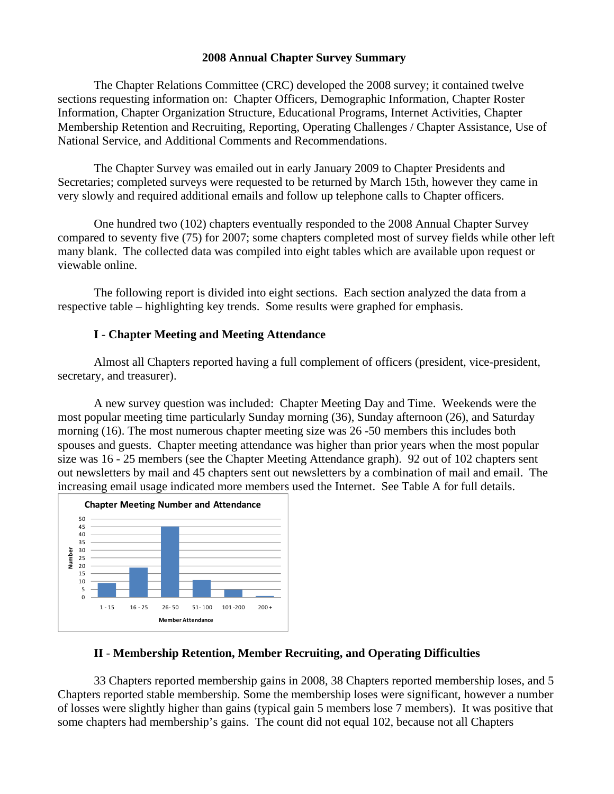#### **2008 Annual Chapter Survey Summary**

The Chapter Relations Committee (CRC) developed the 2008 survey; it contained twelve sections requesting information on: Chapter Officers, Demographic Information, Chapter Roster Information, Chapter Organization Structure, Educational Programs, Internet Activities, Chapter Membership Retention and Recruiting, Reporting, Operating Challenges / Chapter Assistance, Use of National Service, and Additional Comments and Recommendations.

The Chapter Survey was emailed out in early January 2009 to Chapter Presidents and Secretaries; completed surveys were requested to be returned by March 15th, however they came in very slowly and required additional emails and follow up telephone calls to Chapter officers.

One hundred two (102) chapters eventually responded to the 2008 Annual Chapter Survey compared to seventy five (75) for 2007; some chapters completed most of survey fields while other left many blank. The collected data was compiled into eight tables which are available upon request or viewable online.

 The following report is divided into eight sections. Each section analyzed the data from a respective table – highlighting key trends. Some results were graphed for emphasis.

### **I** - **Chapter Meeting and Meeting Attendance**

 Almost all Chapters reported having a full complement of officers (president, vice-president, secretary, and treasurer).

 A new survey question was included: Chapter Meeting Day and Time. Weekends were the most popular meeting time particularly Sunday morning (36), Sunday afternoon (26), and Saturday morning (16). The most numerous chapter meeting size was 26 -50 members this includes both spouses and guests. Chapter meeting attendance was higher than prior years when the most popular size was 16 - 25 members (see the Chapter Meeting Attendance graph). 92 out of 102 chapters sent out newsletters by mail and 45 chapters sent out newsletters by a combination of mail and email. The increasing email usage indicated more members used the Internet. See Table A for full details.



### **II** - **Membership Retention, Member Recruiting, and Operating Difficulties**

 33 Chapters reported membership gains in 2008, 38 Chapters reported membership loses, and 5 Chapters reported stable membership. Some the membership loses were significant, however a number of losses were slightly higher than gains (typical gain 5 members lose 7 members). It was positive that some chapters had membership's gains. The count did not equal 102, because not all Chapters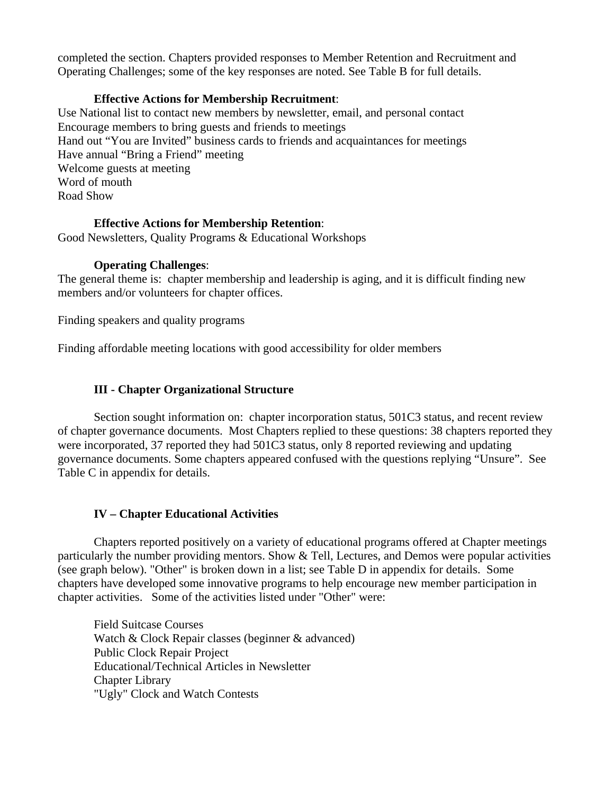completed the section. Chapters provided responses to Member Retention and Recruitment and Operating Challenges; some of the key responses are noted. See Table B for full details.

## **Effective Actions for Membership Recruitment**:

Use National list to contact new members by newsletter, email, and personal contact Encourage members to bring guests and friends to meetings Hand out "You are Invited" business cards to friends and acquaintances for meetings Have annual "Bring a Friend" meeting Welcome guests at meeting Word of mouth Road Show

### **Effective Actions for Membership Retention**:

Good Newsletters, Quality Programs & Educational Workshops

### **Operating Challenges**:

The general theme is: chapter membership and leadership is aging, and it is difficult finding new members and/or volunteers for chapter offices.

Finding speakers and quality programs

Finding affordable meeting locations with good accessibility for older members

# **III - Chapter Organizational Structure**

 Section sought information on: chapter incorporation status, 501C3 status, and recent review of chapter governance documents. Most Chapters replied to these questions: 38 chapters reported they were incorporated, 37 reported they had 501C3 status, only 8 reported reviewing and updating governance documents. Some chapters appeared confused with the questions replying "Unsure". See Table C in appendix for details.

# **IV – Chapter Educational Activities**

Chapters reported positively on a variety of educational programs offered at Chapter meetings particularly the number providing mentors. Show & Tell, Lectures, and Demos were popular activities (see graph below). "Other" is broken down in a list; see Table D in appendix for details. Some chapters have developed some innovative programs to help encourage new member participation in chapter activities. Some of the activities listed under "Other" were:

Field Suitcase Courses Watch & Clock Repair classes (beginner & advanced) Public Clock Repair Project Educational/Technical Articles in Newsletter Chapter Library "Ugly" Clock and Watch Contests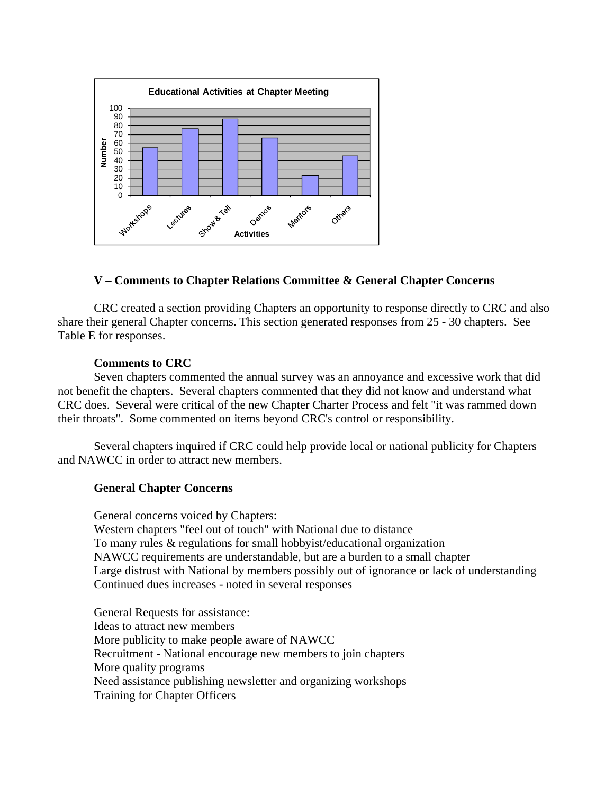

### **V – Comments to Chapter Relations Committee & General Chapter Concerns**

CRC created a section providing Chapters an opportunity to response directly to CRC and also share their general Chapter concerns. This section generated responses from 25 - 30 chapters. See Table E for responses.

#### **Comments to CRC**

Seven chapters commented the annual survey was an annoyance and excessive work that did not benefit the chapters. Several chapters commented that they did not know and understand what CRC does. Several were critical of the new Chapter Charter Process and felt "it was rammed down their throats". Some commented on items beyond CRC's control or responsibility.

Several chapters inquired if CRC could help provide local or national publicity for Chapters and NAWCC in order to attract new members.

#### **General Chapter Concerns**

General concerns voiced by Chapters:

 Western chapters "feel out of touch" with National due to distance To many rules & regulations for small hobbyist/educational organization NAWCC requirements are understandable, but are a burden to a small chapter Large distrust with National by members possibly out of ignorance or lack of understanding Continued dues increases - noted in several responses

 General Requests for assistance: Ideas to attract new members More publicity to make people aware of NAWCC Recruitment - National encourage new members to join chapters More quality programs Need assistance publishing newsletter and organizing workshops Training for Chapter Officers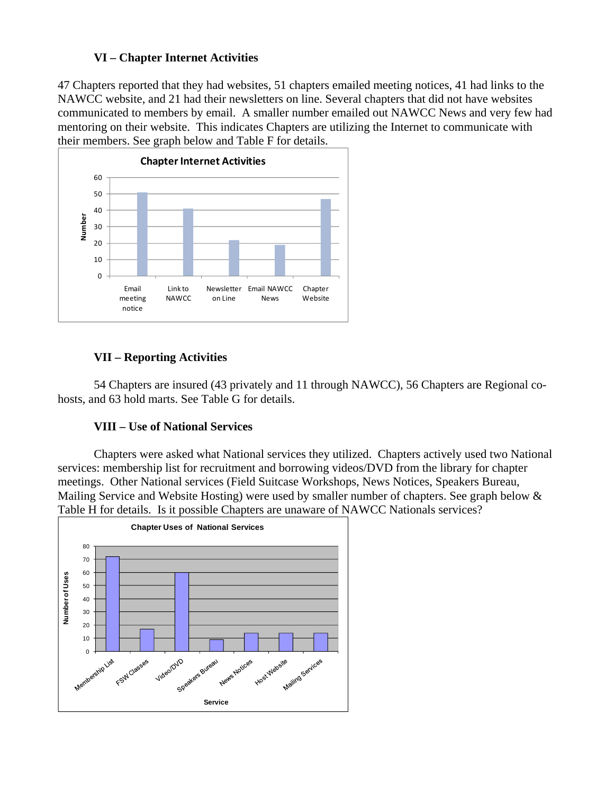# **VI – Chapter Internet Activities**

47 Chapters reported that they had websites, 51 chapters emailed meeting notices, 41 had links to the NAWCC website, and 21 had their newsletters on line. Several chapters that did not have websites communicated to members by email. A smaller number emailed out NAWCC News and very few had mentoring on their website. This indicates Chapters are utilizing the Internet to communicate with their members. See graph below and Table F for details.



# **VII – Reporting Activities**

54 Chapters are insured (43 privately and 11 through NAWCC), 56 Chapters are Regional cohosts, and 63 hold marts. See Table G for details.

# **VIII – Use of National Services**

Chapters were asked what National services they utilized. Chapters actively used two National services: membership list for recruitment and borrowing videos/DVD from the library for chapter meetings. Other National services (Field Suitcase Workshops, News Notices, Speakers Bureau, Mailing Service and Website Hosting) were used by smaller number of chapters. See graph below & Table H for details. Is it possible Chapters are unaware of NAWCC Nationals services?